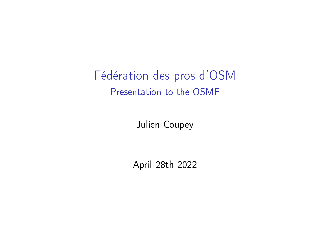Fédération des pros d'OSM Presentation to the OSMF

Julien Coupey

April 28th 2022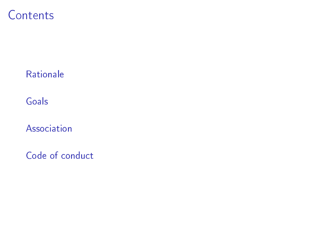**Contents** 

**[Rationale](#page-2-0)** 

[Goals](#page-4-0)

[Association](#page-11-0)

[Code of conduct](#page-17-0)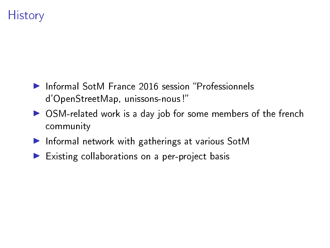# <span id="page-2-0"></span>**History**

- **Informal SotM France 2016 session "Professionnels** d'OpenStreetMap, unissons-nous !
- ▶ OSM-related work is a day job for some members of the french community
- Informal network with gatherings at various SotM
- $\blacktriangleright$  Existing collaborations on a per-project basis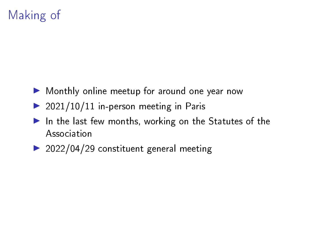# Making of

- ▶ Monthly online meetup for around one year now
- $\triangleright$  2021/10/11 in-person meeting in Paris
- $\blacktriangleright$  In the last few months, working on the Statutes of the Association
- $\geq 2022/04/29$  constituent general meeting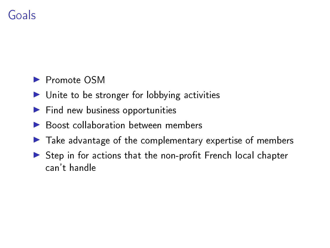# <span id="page-4-0"></span>Goals

### **Promote OSM**

- $\blacktriangleright$  Unite to be stronger for lobbying activities
- $\blacktriangleright$  Find new business opportunities
- $\blacktriangleright$  Boost collaboration between members
- $\blacktriangleright$  Take advantage of the complementary expertise of members
- $\triangleright$  Step in for actions that the non-profit French local chapter can't handle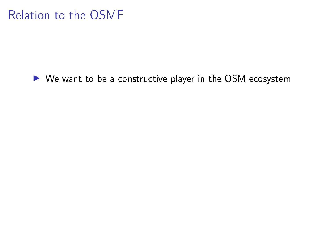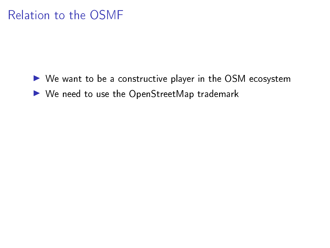- $\triangleright$  We want to be a constructive player in the OSM ecosystem
- $\blacktriangleright$  We need to use the OpenStreetMap trademark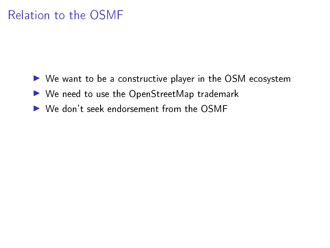- $\triangleright$  We want to be a constructive player in the OSM ecosystem
- $\blacktriangleright$  We need to use the OpenStreetMap trademark
- ▶ We don't seek endorsement from the OSMF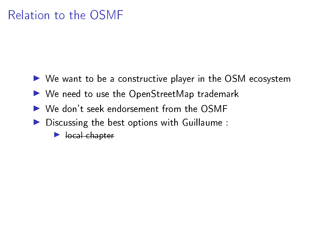- $\triangleright$  We want to be a constructive player in the OSM ecosystem
- $\blacktriangleright$  We need to use the OpenStreetMap trademark
- ▶ We don't seek endorsement from the OSMF
- $\blacktriangleright$  Discussing the best options with Guillaume :
	- $\blacktriangleright$  local chapter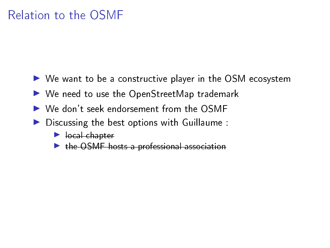- $\triangleright$  We want to be a constructive player in the OSM ecosystem
- $\blacktriangleright$  We need to use the OpenStreetMap trademark
- ▶ We don't seek endorsement from the OSMF
- $\blacktriangleright$  Discussing the best options with Guillaume :
	- $\blacktriangleright$  local chapter
	- $\triangleright$  the OSMF hosts a professional association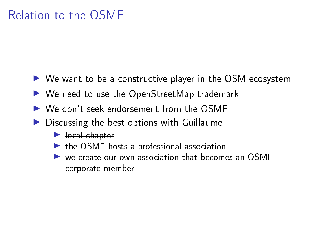- $\triangleright$  We want to be a constructive player in the OSM ecosystem
- $\blacktriangleright$  We need to use the OpenStreetMap trademark
- ▶ We don't seek endorsement from the OSMF
- $\blacktriangleright$  Discussing the best options with Guillaume :
	- $\blacktriangleright$  local chapter
	- $\triangleright$  the OSMF hosts a professional association
	- $\triangleright$  we create our own association that becomes an OSMF corporate member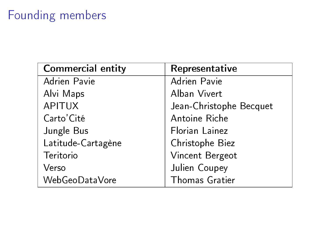# <span id="page-11-0"></span>Founding members

| <b>Commercial entity</b> | Representative          |
|--------------------------|-------------------------|
| Adrien Pavie             | Adrien Pavie            |
| Alvi Maps                | Alban Vivert            |
| <b>APITUX</b>            | Jean-Christophe Becquet |
| Carto' Cité              | Antoine Riche           |
| Jungle Bus               | Florian Lainez          |
| Latitude-Cartagène       | Christophe Biez         |
| Teritorio                | Vincent Bergeot         |
| Verso                    | Julien Coupey           |
| WebGeoDataVore           | <b>Thomas Gratier</b>   |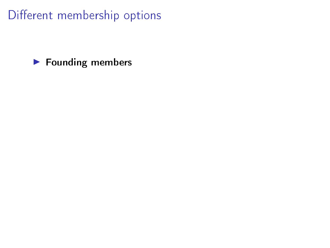#### $\blacktriangleright$  Founding members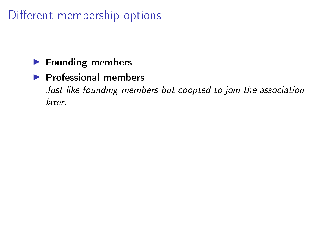### $\blacktriangleright$  Founding members

#### $\blacktriangleright$  Professional members

Just like founding members but coopted to join the association later.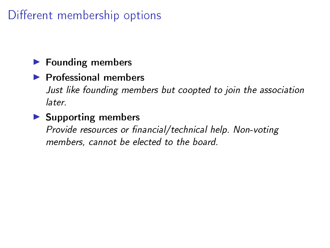### $\blacktriangleright$  Founding members

#### $\blacktriangleright$  Professional members

Just like founding members but coopted to join the association later.

#### $\blacktriangleright$  Supporting members

Provide resources or financial/technical help. Non-voting members, cannot be elected to the board.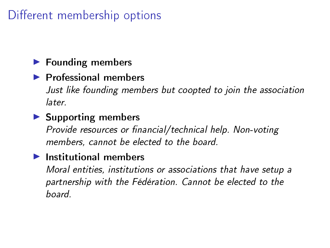### $\blacktriangleright$  Founding members

#### $\blacktriangleright$  Professional members

Just like founding members but coopted to join the association later.

#### $\blacktriangleright$  Supporting members

Provide resources or financial/technical help. Non-voting members, cannot be elected to the board.

#### $\blacktriangleright$  Institutional members

Moral entities, institutions or associations that have setup a partnership with the Fédération. Cannot be elected to the board.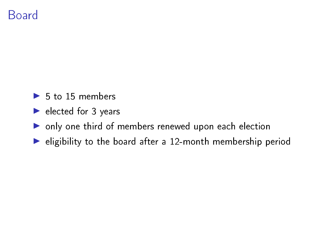## Board

- $\blacktriangleright$  5 to 15 members
- $\blacktriangleright$  elected for 3 years
- $\triangleright$  only one third of members renewed upon each election
- $\blacktriangleright$  eligibility to the board after a 12-month membership period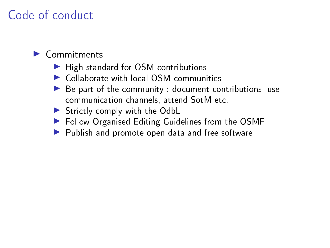## <span id="page-17-0"></span>Code of conduct

#### $\blacktriangleright$  Commitments

- $\blacktriangleright$  High standard for OSM contributions
- $\triangleright$  Collaborate with local OSM communities
- $\blacktriangleright$  Be part of the community : document contributions, use communication channels, attend SotM etc.
- $\blacktriangleright$  Strictly comply with the OdbL
- $\blacktriangleright$  Follow Organised Editing Guidelines from the OSMF
- $\blacktriangleright$  Publish and promote open data and free software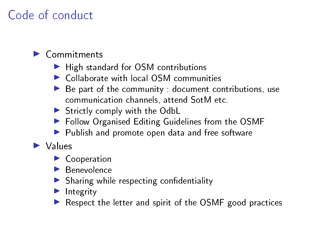# Code of conduct

#### $\blacktriangleright$  Commitments

- $\blacktriangleright$  High standard for OSM contributions
- $\triangleright$  Collaborate with local OSM communities
- $\blacktriangleright$  Be part of the community : document contributions, use communication channels, attend SotM etc.
- $\blacktriangleright$  Strictly comply with the OdbL
- $\blacktriangleright$  Follow Organised Editing Guidelines from the OSMF
- $\blacktriangleright$  Publish and promote open data and free software

### $\blacktriangleright$  Values

- $\blacktriangleright$  Cooperation
- $\blacktriangleright$  Benevolence
- $\blacktriangleright$  Sharing while respecting confidentiality
- $\blacktriangleright$  Integrity
- $\blacktriangleright$  Respect the letter and spirit of the OSMF good practices